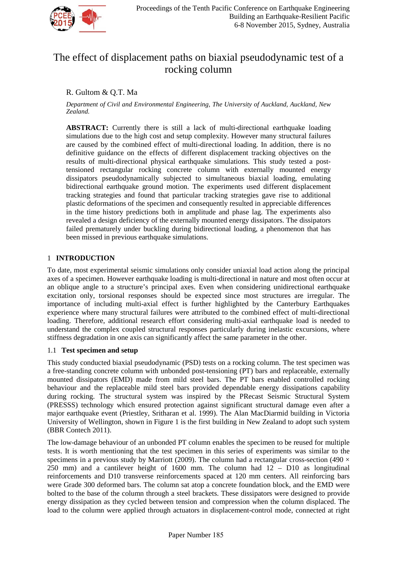

# The effect of displacement paths on biaxial pseudodynamic test of a rocking column

## R. Gultom & Q.T. Ma

*Department of Civil and Environmental Engineering, The University of Auckland, Auckland, New Zealand.*

**ABSTRACT:** Currently there is still a lack of multi-directional earthquake loading simulations due to the high cost and setup complexity. However many structural failures are caused by the combined effect of multi-directional loading. In addition, there is no definitive guidance on the effects of different displacement tracking objectives on the results of multi-directional physical earthquake simulations. This study tested a posttensioned rectangular rocking concrete column with externally mounted energy dissipators pseudodynamically subjected to simultaneous biaxial loading, emulating bidirectional earthquake ground motion. The experiments used different displacement tracking strategies and found that particular tracking strategies gave rise to additional plastic deformations of the specimen and consequently resulted in appreciable differences in the time history predictions both in amplitude and phase lag. The experiments also revealed a design deficiency of the externally mounted energy dissipators. The dissipators failed prematurely under buckling during bidirectional loading, a phenomenon that has been missed in previous earthquake simulations.

### 1 **INTRODUCTION**

To date, most experimental seismic simulations only consider uniaxial load action along the principal axes of a specimen. However earthquake loading is multi-directional in nature and most often occur at an oblique angle to a structure's principal axes. Even when considering unidirectional earthquake excitation only, torsional responses should be expected since most structures are irregular. The importance of including multi-axial effect is further highlighted by the Canterbury Earthquakes experience where many structural failures were attributed to the combined effect of multi-directional loading. Therefore, additional research effort considering multi-axial earthquake load is needed to understand the complex coupled structural responses particularly during inelastic excursions, where stiffness degradation in one axis can significantly affect the same parameter in the other.

#### 1.1 **Test specimen and setup**

This study conducted biaxial pseudodynamic (PSD) tests on a rocking column. The test specimen was a free-standing concrete column with unbonded post-tensioning (PT) bars and replaceable, externally mounted dissipators (EMD) made from mild steel bars. The PT bars enabled controlled rocking behaviour and the replaceable mild steel bars provided dependable energy dissipations capability during rocking. The structural system was inspired by the PRecast Seismic Structural System (PRESSS) technology which ensured protection against significant structural damage even after a major earthquake event [\(Priestley, Sritharan et al. 1999\)](#page-8-0). The Alan MacDiarmid building in Victoria University of Wellington, shown in [Figure 1](#page-1-0) is the first building in New Zealand to adopt such system [\(BBR Contech 2011\)](#page-8-1).

The low-damage behaviour of an unbonded PT column enables the specimen to be reused for multiple tests. It is worth mentioning that the test specimen in this series of experiments was similar to the specimens in a previous study by [Marriott \(2009\)](#page-8-2). The column had a rectangular cross-section (490  $\times$ 250 mm) and a cantilever height of 1600 mm. The column had 12 – D10 as longitudinal reinforcements and D10 transverse reinforcements spaced at 120 mm centers. All reinforcing bars were Grade 300 deformed bars. The column sat atop a concrete foundation block, and the EMD were bolted to the base of the column through a steel brackets. These dissipators were designed to provide energy dissipation as they cycled between tension and compression when the column displaced. The load to the column were applied through actuators in displacement-control mode, connected at right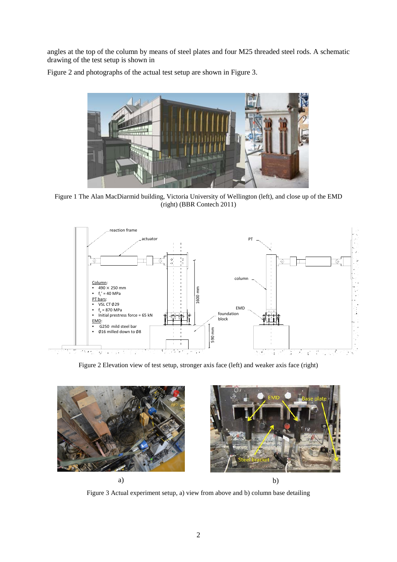angles at the top of the column by means of steel plates and four M25 threaded steel rods. A schematic drawing of the test setup is shown i[n](#page-1-1) 



[Figure](#page-1-1) 2 and photographs of the actual test setup are shown in [Figure 3.](#page-1-2)

<span id="page-1-1"></span><span id="page-1-0"></span>Figure 1 The Alan MacDiarmid building, Victoria University of Wellington (left), and close up of the EMD (right) [\(BBR Contech 2011\)](#page-8-1)



Figure 2 Elevation view of test setup, stronger axis face (left) and weaker axis face (right)

<span id="page-1-2"></span>

Figure 3 Actual experiment setup, a) view from above and b) column base detailing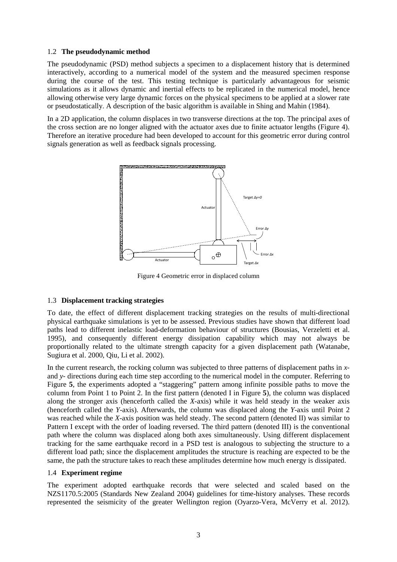#### 1.2 **The pseudodynamic method**

The pseudodynamic (PSD) method subjects a specimen to a displacement history that is determined interactively, according to a numerical model of the system and the measured specimen response during the course of the test. This testing technique is particularly advantageous for seismic simulations as it allows dynamic and inertial effects to be replicated in the numerical model, hence allowing otherwise very large dynamic forces on the physical specimens to be applied at a slower rate or pseudostatically. A description of the basic algorithm is available in [Shing and Mahin \(1984\)](#page-8-3).

In a 2D application, the column displaces in two transverse directions at the top. The principal axes of the cross section are no longer aligned with the actuator axes due to finite actuator lengths [\(Figure 4\)](#page-2-0). Therefore an iterative procedure had been developed to account for this geometric error during control signals generation as well as feedback signals processing.



Figure 4 Geometric error in displaced column

#### <span id="page-2-0"></span>1.3 **Displacement tracking strategies**

To date, the effect of different displacement tracking strategies on the results of multi-directional physical earthquake simulations is yet to be assessed. Previous studies have shown that different load paths lead to different inelastic load-deformation behaviour of structures [\(Bousias, Verzeletti et al.](#page-8-4)  [1995\)](#page-8-4), and consequently different energy dissipation capability which may not always be proportionally related to the ultimate strength capacity for a given displacement path [\(Watanabe,](#page-8-5)  [Sugiura et al. 2000,](#page-8-5) [Qiu, Li et al. 2002\)](#page-8-6).

In the current research, the rocking column was subjected to three patterns of displacement paths in *x*and *y-* directions during each time step according to the numerical model in the computer. Referring to [Figure](#page-3-0) **5**, the experiments adopted a "staggering" pattern among infinite possible paths to move the column from Point 1 to Point 2. In the first pattern (denoted I in [Figure](#page-3-0) **5**), the column was displaced along the stronger axis (henceforth called the *X-*axis) while it was held steady in the weaker axis (henceforth called the *Y-*axis). Afterwards, the column was displaced along the *Y*-axis until Point 2 was reached while the *X-*axis position was held steady. The second pattern (denoted II) was similar to Pattern I except with the order of loading reversed. The third pattern (denoted III) is the conventional path where the column was displaced along both axes simultaneously. Using different displacement tracking for the same earthquake record in a PSD test is analogous to subjecting the structure to a different load path; since the displacement amplitudes the structure is reaching are expected to be the same, the path the structure takes to reach these amplitudes determine how much energy is dissipated.

#### 1.4 **Experiment regime**

The experiment adopted earthquake records that were selected and scaled based on the NZS1170.5:2005 [\(Standards New Zealand 2004\)](#page-8-7) guidelines for time-history analyses. These records represented the seismicity of the greater Wellington region [\(Oyarzo-Vera, McVerry et al. 2012\)](#page-8-8).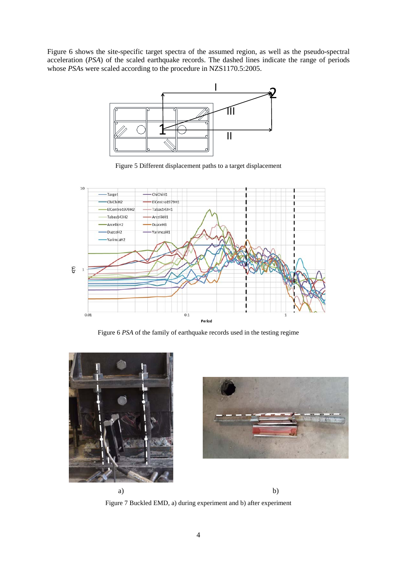[Figure 6](#page-3-1) shows the site-specific target spectra of the assumed region, as well as the pseudo-spectral acceleration (*PSA*) of the scaled earthquake records. The dashed lines indicate the range of periods whose *PSA*s were scaled according to the procedure in NZS1170.5:2005.



Figure 5 Different displacement paths to a target displacement

<span id="page-3-0"></span>

Figure 6 *PSA* of the family of earthquake records used in the testing regime

<span id="page-3-1"></span>

a) b)



<span id="page-3-2"></span>Figure 7 Buckled EMD, a) during experiment and b) after experiment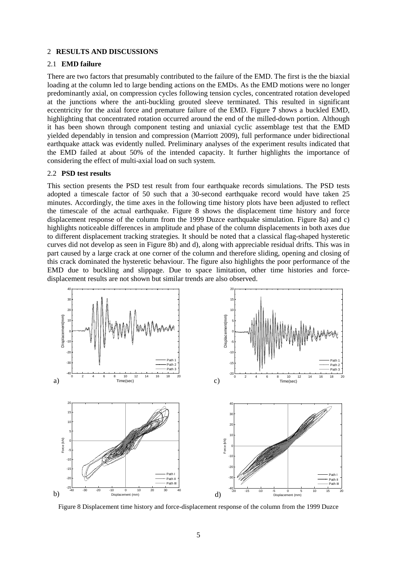#### 2 **RESULTS AND DISCUSSIONS**

#### 2.1 **EMD failure**

There are two factors that presumably contributed to the failure of the EMD. The first is the the biaxial loading at the column led to large bending actions on the EMDs. As the EMD motions were no longer predominantly axial, on compression cycles following tension cycles, concentrated rotation developed at the junctions where the anti-buckling grouted sleeve terminated. This resulted in significant eccentricity for the axial force and premature failure of the EMD. [Figure](#page-3-2) **7** shows a buckled EMD, highlighting that concentrated rotation occurred around the end of the milled-down portion. Although it has been shown through component testing and uniaxial cyclic assemblage test that the EMD yielded dependably in tension and compression [\(Marriott 2009\)](#page-8-2), full performance under bidirectional earthquake attack was evidently nulled. Preliminary analyses of the experiment results indicated that the EMD failed at about 50% of the intended capacity. It further highlights the importance of considering the effect of multi-axial load on such system.

#### 2.2 **PSD test results**

This section presents the PSD test result from four earthquake records simulations. The PSD tests adopted a timescale factor of 50 such that a 30-second earthquake record would have taken 25 minutes. Accordingly, the time axes in the following time history plots have been adjusted to reflect the timescale of the actual earthquake. [Figure 8](#page-4-0) shows the displacement time history and force displacement response of the column from the 1999 Duzce earthquake simulation. [Figure 8a](#page-4-0)) and c) highlights noticeable differences in amplitude and phase of the column displacements in both axes due to different displacement tracking strategies. It should be noted that a classical flag-shaped hysteretic curves did not develop as seen in [Figure 8b](#page-4-0)) and d), along with appreciable residual drifts. This was in part caused by a large crack at one corner of the column and therefore sliding, opening and closing of this crack dominated the hysteretic behaviour. The figure also highlights the poor performance of the EMD due to buckling and slippage. Due to space limitation, other time histories and forcedisplacement results are not shown but similar trends are also observed.



<span id="page-4-0"></span>Figure 8 Displacement time history and force-displacement response of the column from the 1999 Duzce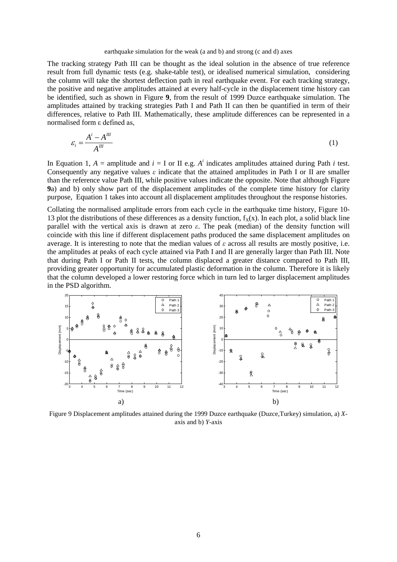#### earthquake simulation for the weak (a and b) and strong (c and d) axes

The tracking strategy Path III can be thought as the ideal solution in the absence of true reference result from full dynamic tests (e.g. shake-table test), or idealised numerical simulation, considering the column will take the shortest deflection path in real earthquake event. For each tracking strategy, the positive and negative amplitudes attained at every half-cycle in the displacement time history can be identified, such as shown in [Figure](#page-5-0) **9**, from the result of 1999 Duzce earthquake simulation. The amplitudes attained by tracking strategies Path I and Path II can then be quantified in term of their differences, relative to Path III. Mathematically, these amplitude differences can be represented in a normalised form ε defined as,

$$
\varepsilon_i = \frac{A^i - A^m}{A^m} \tag{1}
$$

In Equation 1,  $A =$  amplitude and  $i = I$  or II e.g.  $A<sup>i</sup>$  indicates amplitudes attained during Path *i* test. Consequently any negative values *ε* indicate that the attained amplitudes in Path I or II are smaller than the reference value Path III, while positive values indicate the opposite. Note that althoug[h Figure](#page-5-0)  **[9](#page-5-0)**a) and b) only show part of the displacement amplitudes of the complete time history for clarity purpose, Equation 1 takes into account all displacement amplitudes throughout the response histories.

Collating the normalised amplitude errors from each cycle in the earthquake time history, Figure 10- 13 plot the distributions of these differences as a density function,  $f_X(x)$ . In each plot, a solid black line parallel with the vertical axis is drawn at zero *ε*. The peak (median) of the density function will coincide with this line if different displacement paths produced the same displacement amplitudes on average. It is interesting to note that the median values of *ε* across all results are mostly positive, i.e. the amplitudes at peaks of each cycle attained via Path I and II are generally larger than Path III. Note that during Path I or Path II tests, the column displaced a greater distance compared to Path III, providing greater opportunity for accumulated plastic deformation in the column. Therefore it is likely that the column developed a lower restoring force which in turn led to larger displacement amplitudes in the PSD algorithm.



<span id="page-5-0"></span>Figure 9 Displacement amplitudes attained during the 1999 Duzce earthquake (Duzce,Turkey) simulation, a) *X*axis and b) *Y-*axis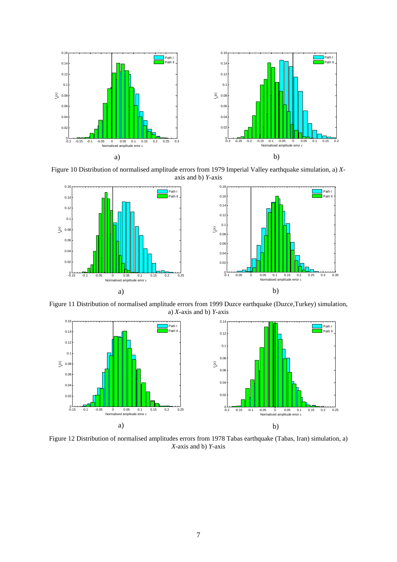

Figure 10 Distribution of normalised amplitude errors from 1979 Imperial Valley earthquake simulation, a) *X*axis and b) *Y-*axis



Figure 11 Distribution of normalised amplitude errors from 1999 Duzce earthquake (Duzce,Turkey) simulation, a) *X-*axis and b) *Y-*axis



Figure 12 Distribution of normalised amplitudes errors from 1978 Tabas earthquake (Tabas, Iran) simulation, a) *X-*axis and b) *Y-*axis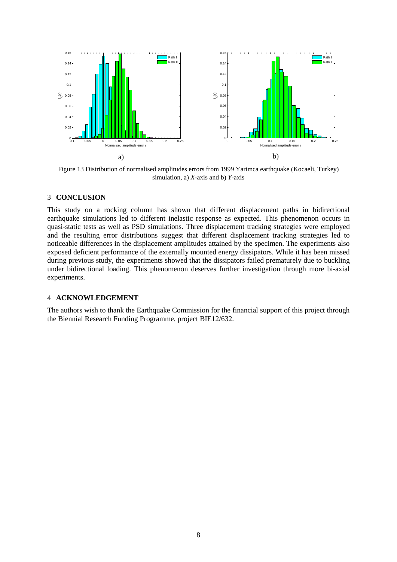

Figure 13 Distribution of normalised amplitudes errors from 1999 Yarimca earthquake (Kocaeli, Turkey) simulation, a) *X-*axis and b) *Y-*axis

#### 3 **CONCLUSION**

This study on a rocking column has shown that different displacement paths in bidirectional earthquake simulations led to different inelastic response as expected. This phenomenon occurs in quasi-static tests as well as PSD simulations. Three displacement tracking strategies were employed and the resulting error distributions suggest that different displacement tracking strategies led to noticeable differences in the displacement amplitudes attained by the specimen. The experiments also exposed deficient performance of the externally mounted energy dissipators. While it has been missed during previous study, the experiments showed that the dissipators failed prematurely due to buckling under bidirectional loading. This phenomenon deserves further investigation through more bi-axial experiments.

#### 4 **ACKNOWLEDGEMENT**

The authors wish to thank the Earthquake Commission for the financial support of this project through the Biennial Research Funding Programme, project BIE12/632.